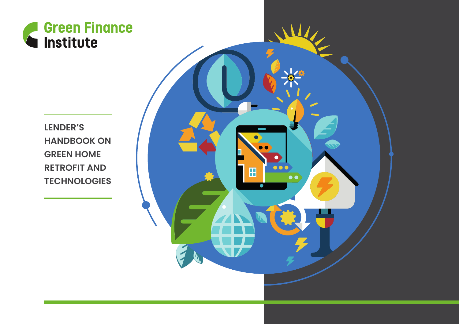

**LENDER'S HANDBOOK ON GREEN HOME RETROFIT AND TECHNOLOGIES**

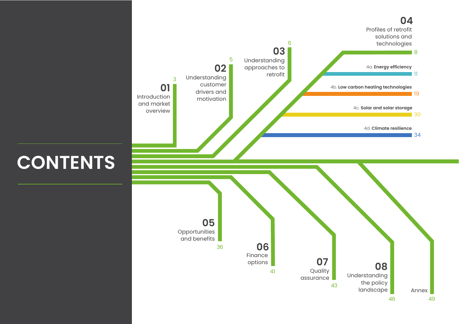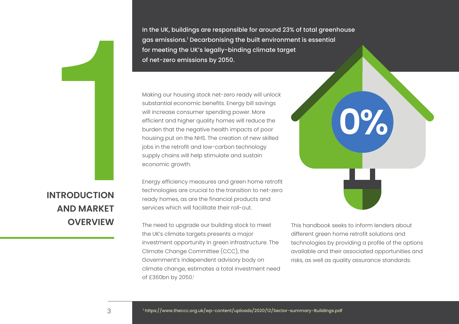In the UK, buildings are responsible for around 23% of total greenhouse gas emissions.<sup>1</sup> Decarbonising the built environment is essential for meeting the UK's legally-binding climate target of net-zero emissions by 2050.

<span id="page-2-0"></span>In the gas<br>for r<br>of not<br>Maki subs<br>will in<br>will in<br>effic<br>burd<br>hous<br>jobs<br>supp<br>ecor<br>Ener Making our housing stock net-zero ready will unlock substantial economic benefits. Energy bill savings will increase consumer spending power. More efficient and higher quality homes will reduce the burden that the negative health impacts of poor housing put on the NHS. The creation of new skilled jobs in the retrofit and low-carbon technology supply chains will help stimulate and sustain economic growth.

Energy efficiency measures and green home retrofit technologies are crucial to the transition to net-zero ready homes, as are the financial products and services which will facilitate their roll-out.

The need to upgrade our building stock to meet the UK's climate targets presents a major investment opportunity in green infrastructure. The Climate Change Committee (CCC), the Government's independent advisory body on climate change, estimates a total investment need of £360bn by 2050.<sup>1</sup>

This handbook seeks to inform lenders about different green home retrofit solutions and technologies by providing a profile of the options available and their associated opportunities and risks, as well as quality assurance standards.

**0%**

**INTRODUCTION AND MARKET OVERVIEW**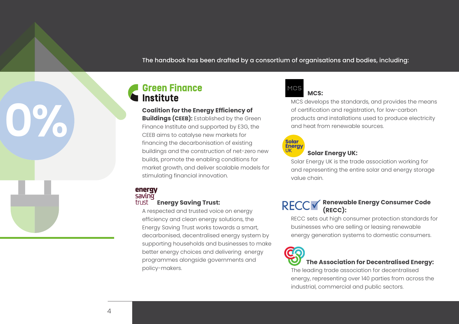The handbook has been drafted by a consortium of organisations and bodies, including:

# **Green Finance Institute**

## **Coalition for the Energy Efficiency of**

**Buildings (CEEB):** Established by the Green Finance Institute and supported by E3G, the CEEB aims to catalyse new markets for financing the decarbonisation of existing buildings and the construction of net-zero new builds, promote the enabling conditions for market growth, and deliver scalable models for stimulating financial innovation.

## energy saving **Energy Saving Trust:**

A respected and trusted voice on energy efficiency and clean energy solutions, the Energy Saving Trust works towards a smart, decarbonised, decentralised energy system by supporting households and businesses to make better energy choices and delivering energy programmes alongside governments and policy-makers.

## MOS  **MCS:**

MCS develops the standards, and provides the means of certification and registration, for low-carbon products and installations used to produce electricity and heat from renewable sources.

# **Solar Energy**

# **Solar Energy UK:**

Solar Energy UK is the trade association working for and representing the entire solar and energy storage value chain.

# **COLOGER Renewable Energy Consumer Code (RECC):**

RECC sets out high consumer protection standards for businesses who are selling or leasing renewable energy generation systems to domestic consumers.

# **The Association for Decentralised Energy:**

The leading trade association for decentralised energy, representing over 140 parties from across the industrial, commercial and public sectors.

**0%**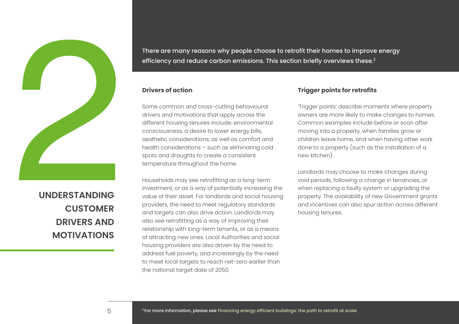There are many reasons why people choose to retrofit their homes to improve energy efficiency and reduce carbon emissions. This section briefly overviews these.<sup>2</sup>

## **Drivers of action**

Some common and cross-cutting behavioural drivers and motivations that apply across the different housing tenures include: environmental consciousness, a desire to lower energy bills, aesthetic considerations, as well as comfort and health considerations – such as eliminating cold spots and draughts to create a consistent temperature throughout the home.

Households may see retrofitting as a long-term investment, or as a way of potentially increasing the value of their asset. For landlords and social housing providers, the need to meet regulatory standards and targets can also drive action. Landlords may also see retrofitting as a way of improving their relationship with long-term tenants, or as a means of attracting new ones. Local Authorities and social housing providers are also driven by the need to address fuel poverty, and increasingly by the need to meet local targets to reach net-zero earlier than the national target date of 2050.

## **Trigger points for retrofits**

'Trigger points' describe moments where property owners are more likely to make changes to homes. Common examples include before or soon after moving into a property, when families grow or children leave home, and when having other work done to a property (such as the installation of a new kitchen).

Landlords may choose to make changes during void periods, following a change in tenancies, or when replacing a faulty system or upgrading the property. The availability of new Government grants and incentives can also spur action across different housing tenures.

**UNDERSTANDING CUSTOMER DRIVERS AND MOTIVATIONS**

<span id="page-4-0"></span>2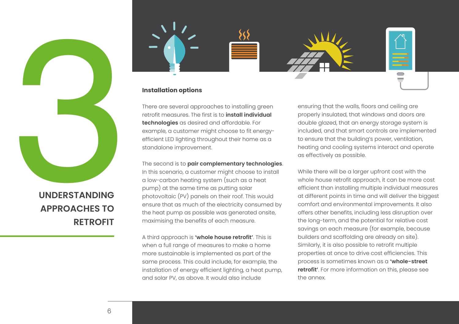<span id="page-5-0"></span>

**UNDERSTANDING APPROACHES TO RETROFIT**



## **Installation options**

There are several approaches to installing green retrofit measures. The first is to **install individual technologies** as desired and affordable. For example, a customer might choose to fit energyefficient LED lighting throughout their home as a standalone improvement.

The second is to **pair complementary technologies**. In this scenario, a customer might choose to install a low-carbon heating system (such as a heat pump) at the same time as putting solar photovoltaic (PV) panels on their roof. This would ensure that as much of the electricity consumed by the heat pump as possible was generated onsite, maximising the benefits of each measure.

A third approach is **'whole house retrofit'**. This is when a full range of measures to make a home more sustainable is implemented as part of the same process. This could include, for example, the installation of energy efficient lighting, a heat pump, and solar PV, as above. It would also include

ensuring that the walls, floors and ceiling are properly insulated, that windows and doors are double glazed, that an energy storage system is included, and that smart controls are implemented to ensure that the building's power, ventilation, heating and cooling systems interact and operate as effectively as possible.

While there will be a larger upfront cost with the whole house retrofit approach, it can be more cost efficient than installing multiple individual measures at different points in time and will deliver the biggest comfort and environmental improvements. It also offers other benefits, including less disruption over the long-term, and the potential for relative cost savings on each measure (for example, because builders and scaffolding are already on site). Similarly, it is also possible to retrofit multiple properties at once to drive cost efficiencies. This process is sometimes known as a **'whole-street retrofit'**. For more information on this, please see the annex.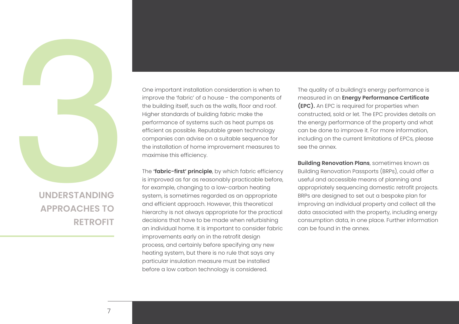

**UNDERSTANDING APPROACHES TO RETROFIT**

One important installation consideration is when to improve the 'fabric' of a house - the components of the building itself, such as the walls, floor and roof. Higher standards of building fabric make the performance of systems such as heat pumps as efficient as possible. Reputable green technology companies can advise on a suitable sequence for the installation of home improvement measures to maximise this efficiency.

The **'fabric-first' principle**, by which fabric efficiency is improved as far as reasonably practicable before, for example, changing to a low-carbon heating system, is sometimes regarded as an appropriate and efficient approach. However, this theoretical hierarchy is not always appropriate for the practical decisions that have to be made when refurbishing an individual home. It is important to consider fabric improvements early on in the retrofit design process, and certainly before specifying any new heating system, but there is no rule that says any particular insulation measure must be installed before a low carbon technology is considered.

The quality of a building's energy performance is measured in an **Energy Performance Certificate (EPC).** An EPC is required for properties when constructed, sold or let. The EPC provides details on the energy performance of the property and what can be done to improve it. For more information, including on the current limitations of EPCs, please see the annex.

**Building Renovation Plans**, sometimes known as Building Renovation Passports (BRPs), could offer a useful and accessible means of planning and appropriately sequencing domestic retrofit projects. BRPs are designed to set out a bespoke plan for improving an individual property and collect all the data associated with the property, including energy consumption data, in one place. Further information can be found in the annex.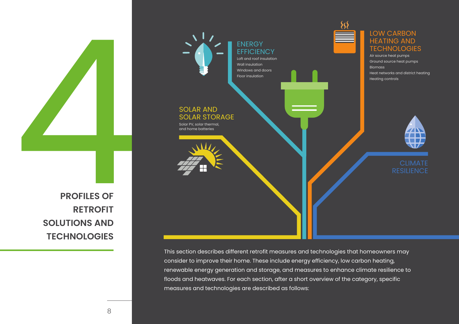<span id="page-7-0"></span>

This section describes different retrofit measures and technologies that homeowners may consider to improve their home. These include energy efficiency, low carbon heating, renewable energy generation and storage, and measures to enhance climate resilience to floods and heatwaves. For each section, after a short overview of the category, specific measures and technologies are described as follows:

**PROFILES OF RETROFIT SOLUTIONS AND TECHNOLOGIES**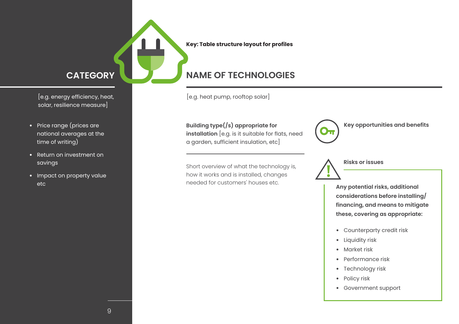## **Key: Table structure layout for profiles**

[e.g. energy efficiency, heat, solar, resilience measure]

- Price range (prices are national averages at the time of writing)
- Return on investment on savings
- Impact on property value etc

**CATEGORY NAME OF TECHNOLOGIES** 

[e.g. heat pump, rooftop solar]

**Building type(/s) appropriate for installation** [e.g. is it suitable for flats, need a garden, sufficient insulation, etc]

Short overview of what the technology is, how it works and is installed, changes needed for customers' houses etc. **Any potential risks, additional and a** 

 **Key opportunities and benefits** 



**considerations before installing/ financing, and means to mitigate these, covering as appropriate:** 

- Counterparty credit risk
- Liquidity risk
- Market risk
- Performance risk
- Technology risk
- Policy risk
- Government support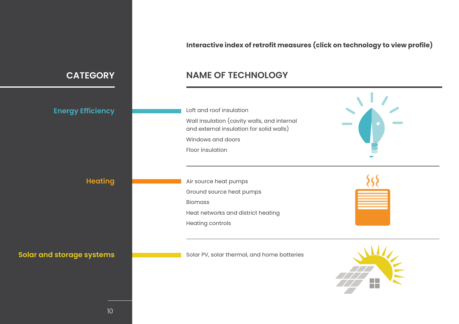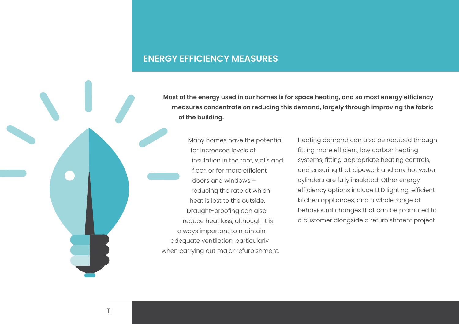# <span id="page-10-0"></span>**ENERGY EFFICIENCY MEASURES**

**Most of the energy used in our homes is for space heating, and so most energy efficiency measures concentrate on reducing this demand, largely through improving the fabric of the building.** 

Many homes have the potential for increased levels of insulation in the roof, walls and floor, or for more efficient doors and windows – reducing the rate at which heat is lost to the outside. Draught-proofing can also reduce heat loss, although it is always important to maintain adequate ventilation, particularly when carrying out major refurbishment.

Heating demand can also be reduced through fitting more efficient, low carbon heating systems, fitting appropriate heating controls, and ensuring that pipework and any hot water cylinders are fully insulated. Other energy efficiency options include LED lighting, efficient kitchen appliances, and a whole range of behavioural changes that can be promoted to a customer alongside a refurbishment project.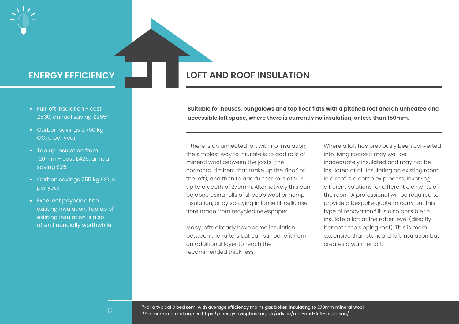<span id="page-11-0"></span>

- Full loft insulation cost £530, annual saving £255<sup>3</sup>
- Carbon savings 2,750 kg  $CO<sub>2</sub>$ e per year
- Top up insulation from 120mm - cost £425, annual saving £25
- Carbon savings 255 kg  $CO<sub>2</sub>e$ per year
- Excellent payback if no existing insulation. Top up of existing insulation is also often financially worthwhile.

# **ENERGY EFFICIENCY LOFT AND ROOF INSULATION**

**Suitable for houses, bungalows and top floor flats with a pitched roof and an unheated and accessible loft space, where there is currently no insulation, or less than 150mm.**

If there is an unheated loft with no insulation, the simplest way to insulate is to add rolls of mineral wool between the joists (the horizontal timbers that make up the 'floor' of the loft), and then to add further rolls at 90° up to a depth of 270mm. Alternatively this can be done using rolls of sheep's wool or hemp insulation, or by spraying in loose fill cellulose fibre made from recycled newspaper.

Many lofts already have some insulation between the rafters but can still benefit from an additional layer to reach the recommended thickness.

Where a loft has previously been converted into living space it may well be inadequately insulated and may not be insulated at all. Insulating an existing room in a roof is a complex process, involving different solutions for different elements of the room. A professional will be required to provide a bespoke quote to carry out this type of renovation.<sup>4</sup> It is also possible to insulate a loft at the rafter level (directly beneath the sloping roof). This is more expensive than standard loft insulation but creates a warmer loft.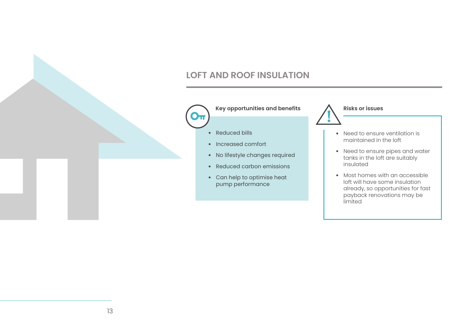# **LOFT AND ROOF INSULATION**



• Reduced bills

ΡП

- Increased comfort
- No lifestyle changes required
- Reduced carbon emissions
- Can help to optimise heat pump performance

## **Risks or issues**

- Need to ensure ventilation is maintained in the loft
- Need to ensure pipes and water tanks in the loft are suitably insulated
- Most homes with an accessible loft will have some insulation already, so opportunities for fast payback renovations may be limited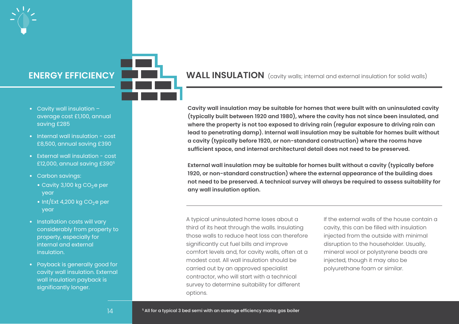<span id="page-13-0"></span>

- 
- Cavity wall insulation average cost £1,100, annual saving £285
- Internal wall insulation cost £8,500, annual saving £390
- External wall insulation cost £12,000, annual saving £390<sup>5</sup>
- Carbon savings:
	- Cavity 3,100 kg CO<sub>2</sub>e per year
	- Int/Ext 4,200 kg CO<sub>2</sub>e per year
- Installation costs will vary considerably from property to property, especially for internal and external insulation.
- Payback is generally good for cavity wall insulation. External wall insulation payback is significantly longer.

**ENERGY EFFICIENCY WALL INSULATION** (cavity walls; internal and external insulation for solid walls)

**Cavity wall insulation may be suitable for homes that were built with an uninsulated cavity (typically built between 1920 and 1980), where the cavity has not since been insulated, and where the property is not too exposed to driving rain (regular exposure to driving rain can lead to penetrating damp). Internal wall insulation may be suitable for homes built without a cavity (typically before 1920, or non-standard construction) where the rooms have sufficient space, and internal architectural detail does not need to be preserved.** 

**External wall insulation may be suitable for homes built without a cavity (typically before 1920, or non-standard construction) where the external appearance of the building does not need to be preserved. A technical survey will always be required to assess suitability for any wall insulation option.**

A typical uninsulated home loses about a third of its heat through the walls. Insulating those walls to reduce heat loss can therefore significantly cut fuel bills and improve comfort levels and, for cavity walls, often at a modest cost. All wall insulation should be carried out by an approved specialist contractor, who will start with a technical survey to determine suitability for different options.

If the external walls of the house contain a cavity, this can be filled with insulation injected from the outside with minimal disruption to the householder. Usually, mineral wool or polystyrene beads are injected, though it may also be polyurethane foam or similar.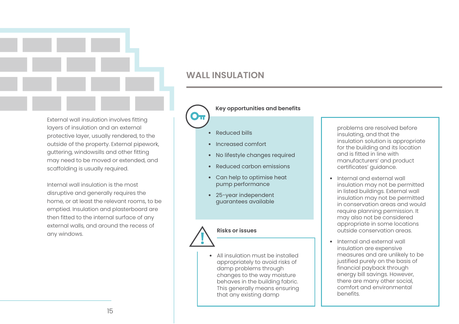External wall insulation involves fitting layers of insulation and an external protective layer, usually rendered, to the outside of the property. External pipework, guttering, windowsills and other fitting may need to be moved or extended, and scaffolding is usually required.

Internal wall insulation is the most disruptive and generally requires the home, or at least the relevant rooms, to be emptied. Insulation and plasterboard are then fitted to the internal surface of any external walls, and around the recess of any windows.

# **WALL INSULATION**

## **Key opportunities and benefits**

- Reduced bills
- Increased comfort
- No lifestyle changes required
- Reduced carbon emissions
- Can help to optimise heat pump performance
- 25-year independent guarantees available

# **Risks or issues**

• All insulation must be installed appropriately to avoid risks of damp problems through changes to the way moisture behaves in the building fabric. This generally means ensuring that any existing damp

problems are resolved before insulating, and that the insulation solution is appropriate for the building and its location and is fitted in line with manufacturers' and product certificates' guidance.

- Internal and external wall insulation may not be permitted in listed buildings. External wall insulation may not be permitted in conservation areas and would require planning permission. It may also not be considered appropriate in some locations outside conservation areas.
- Internal and external wall insulation are expensive measures and are unlikely to be justified purely on the basis of financial payback through energy bill savings. However, there are many other social, comfort and environmental benefits.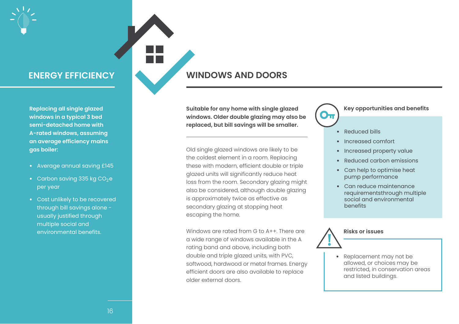<span id="page-15-0"></span>

**Replacing all single glazed windows in a typical 3 bed semi-detached home with A-rated windows, assuming an average efficiency mains gas boiler:**

- Average annual saving £145
- Carbon saving 335 kg  $CO<sub>2</sub>$ e per year
- Cost unlikely to be recovered through bill savings alone usually justified through multiple social and environmental benefits.

# **ENERGY EFFICIENCY WINDOWS AND DOORS**

**Suitable for any home with single glazed windows. Older double glazing may also be replaced, but bill savings will be smaller.** 

Old single glazed windows are likely to be the coldest element in a room. Replacing these with modern, efficient double or triple glazed units will significantly reduce heat loss from the room. Secondary glazing might also be considered, although double glazing is approximately twice as effective as secondary glazing at stopping heat escaping the home.

Windows are rated from G to A++. There are a wide range of windows available in the A rating band and above, including both double and triple glazed units, with PVC, softwood, hardwood or metal frames. Energy efficient doors are also available to replace older external doors.

## **Key opportunities and benefits**

- Reduced bills
- Increased comfort
- Increased property value
- Reduced carbon emissions
- Can help to optimise heat pump performance
- Can reduce maintenance requirementsthrough multiple social and environmental benefits



 $\mathbf{O}_{\mathbf{L}}$ 

• Replacement may not be allowed, or choices may be restricted, in conservation areas and listed buildings.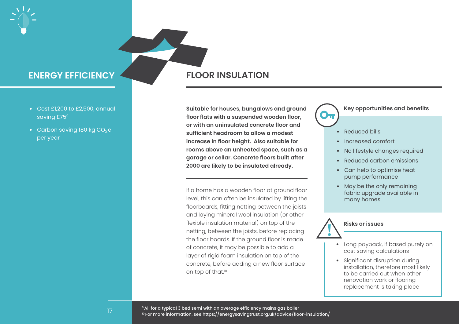<span id="page-16-0"></span>

**ENERGY EFFICIENCY 4 FLOOR INSULATION** 

- $\bullet$  Cost  $f1,200$  to  $f2,500$ , annual saving £75<sup>9</sup>
- Carbon saving 180 kg  $CO<sub>2</sub>e$ per year

**Suitable for houses, bungalows and ground floor flats with a suspended wooden floor, or with an uninsulated concrete floor and sufficient headroom to allow a modest increase in floor height. Also suitable for rooms above an unheated space, such as a garage or cellar. Concrete floors built after 2000 are likely to be insulated already.** 

If a home has a wooden floor at ground floor level, this can often be insulated by lifting the floorboards, fitting netting between the joists and laying mineral wool insulation (or other flexible insulation material) on top of the netting, between the joists, before replacing the floor boards. If the ground floor is made of concrete, it may be possible to add a layer of rigid foam insulation on top of the concrete, before adding a new floor surface on top of that.<sup>10</sup>

## **Key opportunities and benefits**

- Reduced bills
- Increased comfort
- No lifestyle changes required
- Reduced carbon emissions
- Can help to optimise heat pump performance
- May be the only remaining fabric upgrade available in many homes



 $O_{\text{L}}$ 

- **Risks or issues**
- Long payback, if based purely on cost saving calculations
- Significant disruption during installation, therefore most likely to be carried out when other renovation work or flooring replacement is taking place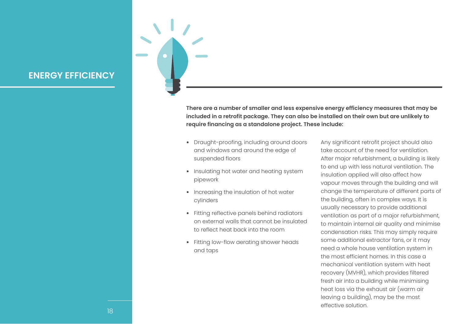# **ENERGY EFFICIENCY**

**There are a number of smaller and less expensive energy efficiency measures that may be included in a retrofit package. They can also be installed on their own but are unlikely to require financing as a standalone project. These include:**

- Draught-proofing, including around doors and windows and around the edge of suspended floors
- Insulating hot water and heating system pipework
- Increasing the insulation of hot water cylinders
- Fitting reflective panels behind radiators on external walls that cannot be insulated to reflect heat back into the room
- Fitting low-flow aerating shower heads and taps

Any significant retrofit project should also take account of the need for ventilation. After major refurbishment, a building is likely to end up with less natural ventilation. The insulation applied will also affect how vapour moves through the building and will change the temperature of different parts of the building, often in complex ways. It is usually necessary to provide additional ventilation as part of a major refurbishment, to maintain internal air quality and minimise condensation risks. This may simply require some additional extractor fans, or it may need a whole house ventilation system in the most efficient homes. In this case a mechanical ventilation system with heat recovery (MVHR), which provides filtered fresh air into a building while minimising heat loss via the exhaust air (warm air leaving a building), may be the most effective solution.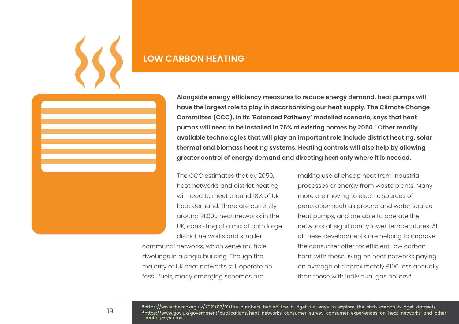# **LOW CARBON HEATING**

<span id="page-18-0"></span>

**Alongside energy efficiency measures to reduce energy demand, heat pumps will have the largest role to play in decarbonising our heat supply. The Climate Change Committee (CCC), in its 'Balanced Pathway' modelled scenario, says that heat pumps will need to be installed in 75% of existing homes by 2050.<sup>3</sup> Other readily available technologies that will play an important role include district heating, solar thermal and biomass heating systems. Heating controls will also help by allowing greater control of energy demand and directing heat only where it is needed.** 

The CCC estimates that by 2050, heat networks and district heating will need to meet around 18% of UK heat demand. There are currently around 14,000 heat networks in the UK, consisting of a mix of both large district networks and smaller

communal networks, which serve multiple dwellings in a single building. Though the majority of UK heat networks still operate on fossil fuels, many emerging schemes are

making use of cheap heat from industrial processes or energy from waste plants. Many more are moving to electric sources of generation such as ground and water source heat pumps, and are able to operate the networks at significantly lower temperatures. All of these developments are helping to improve the consumer offer for efficient, low carbon heat, with those living on heat networks paying an average of approximately £100 less annually than those with individual gas boilers.<sup>4</sup>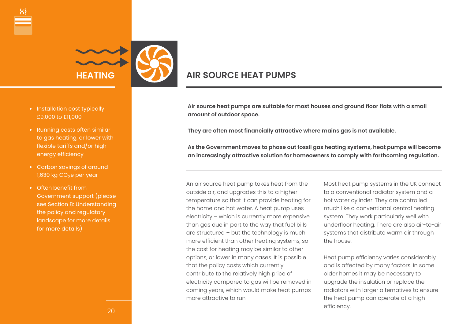<span id="page-19-0"></span>



# **AIR SOURCE HEAT PUMPS**

- Installation cost typically £9,000 to £11,000
- Running costs often similar to gas heating, or lower with flexible tariffs and/or high energy efficiency
- Carbon savings of around  $1,630$  kg CO<sub>2</sub>e per year
- Often benefit from Government suppor[t \(please](#page-45-0)  [see Section 8: Understanding](#page-45-0)  [the policy and regulatory](#page-45-0)  [landscape for more details](#page-45-0)  [for more details\)](#page-45-0)

**Air source heat pumps are suitable for most houses and ground floor flats with a small amount of outdoor space.** 

**They are often most financially attractive where mains gas is not available.** 

**As the Government moves to phase out fossil gas heating systems, heat pumps will become an increasingly attractive solution for homeowners to comply with forthcoming regulation.**

An air source heat pump takes heat from the outside air, and upgrades this to a higher temperature so that it can provide heating for the home and hot water. A heat pump uses electricity – which is currently more expensive than gas due in part to the way that fuel bills are structured – but the technology is much more efficient than other heating systems, so the cost for heating may be similar to other options, or lower in many cases. It is possible that the policy costs which currently contribute to the relatively high price of electricity compared to gas will be removed in coming years, which would make heat pumps more attractive to run.

Most heat pump systems in the UK connect to a conventional radiator system and a hot water cylinder. They are controlled much like a conventional central heating system. They work particularly well with underfloor heating. There are also air-to-air systems that distribute warm air through the house.

Heat pump efficiency varies considerably and is affected by many factors. In some older homes it may be necessary to upgrade the insulation or replace the radiators with larger alternatives to ensure the heat pump can operate at a high efficiency.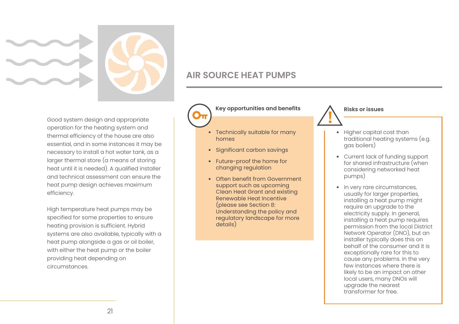

Good system design and appropriate operation for the heating system and thermal efficiency of the house are also essential, and in some instances it may be necessary to install a hot water tank, as a larger thermal store (a means of storing heat until it is needed). A qualified installer and technical assessment can ensure the heat pump design achieves maximum efficiency.

High temperature heat pumps may be specified for some properties to ensure heating provision is sufficient. Hybrid systems are also available, typically with a heat pump alongside a gas or oil boiler, with either the heat pump or the boiler providing heat depending on circumstances.

# **AIR SOURCE HEAT PUMPS**

 **Key opportunities and benefits** 

- Technically suitable for many homes
- Significant carbon savings
- Future-proof the home for changing regulation
- Often benefit from Government support such as upcoming Clean Heat Grant and existing Renewable Heat Incentive [\(please see Section 8:](#page-45-0)  [Understanding the policy and](#page-45-0)  [regulatory landscape for more](#page-45-0)  [details\)](#page-45-0)

## **Risks or issues**

- Higher capital cost than traditional heating systems (e.g. gas boilers)
- Current lack of funding support for shared infrastructure (when considering networked heat pumps)
- In very rare circumstances, usually for larger properties, installing a heat pump might require an upgrade to the electricity supply. In general, installing a heat pump requires permission from the local District Network Operator (DNO), but an installer typically does this on behalf of the consumer and it is exceptionally rare for this to cause any problems. In the very few instances where there is likely to be an impact on other local users, many DNOs will upgrade the nearest transformer for free.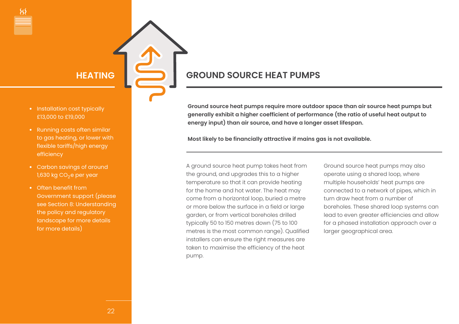<span id="page-21-0"></span>



- **HEATING COULD SOURCE HEAT PUMPS**
- Installation cost typically £13,000 to £19,000
- Running costs often similar to gas heating, or lower with flexible tariffs/high energy efficiency
- Carbon savings of around  $1,630$  kg CO<sub>2</sub>e per year
- Often benefit from Government support [\(please](#page-45-0)  [see Section 8: Understanding](#page-45-0)  [the policy and regulatory](#page-45-0)  [landscape for more details](#page-45-0)  [for more details\)](#page-45-0)

**Ground source heat pumps require more outdoor space than air source heat pumps but generally exhibit a higher coefficient of performance (the ratio of useful heat output to energy input) than air source, and have a longer asset lifespan.** 

**Most likely to be financially attractive if mains gas is not available.**

A ground source heat pump takes heat from the ground, and upgrades this to a higher temperature so that it can provide heating for the home and hot water. The heat may come from a horizontal loop, buried a metre or more below the surface in a field or large garden, or from vertical boreholes drilled typically 50 to 150 metres down (75 to 100 metres is the most common range). Qualified installers can ensure the right measures are taken to maximise the efficiency of the heat pump.

Ground source heat pumps may also operate using a shared loop, where multiple households' heat pumps are connected to a network of pipes, which in turn draw heat from a number of boreholes. These shared loop systems can lead to even greater efficiencies and allow for a phased installation approach over a larger geographical area.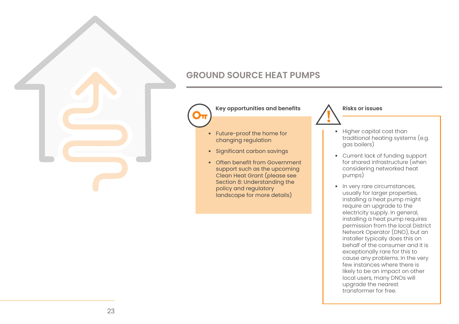

# **GROUND SOURCE HEAT PUMPS**

 **Key opportunities and benefits** 

- Future-proof the home for changing regulation
- Significant carbon savings
- Often benefit from Government support such as the upcoming Clean Heat Grant [\(please see](#page-45-0)  [Section 8: Understanding the](#page-45-0)  [policy and regulatory](#page-45-0)  [landscape for more details\)](#page-45-0)

## **Risks or issues**

- Higher capital cost than traditional heating systems (e.g. gas boilers)
- Current lack of funding support for shared infrastructure (when considering networked heat pumps)
- In very rare circumstances, usually for larger properties, installing a heat pump might require an upgrade to the electricity supply. In general, installing a heat pump requires permission from the local District Network Operator (DNO), but an installer typically does this on behalf of the consumer and it is exceptionally rare for this to cause any problems. In the very few instances where there is likely to be an impact on other local users, many DNOs will upgrade the nearest transformer for free.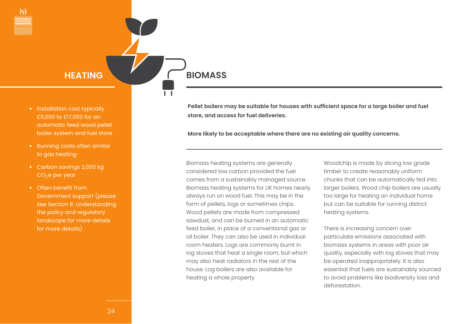<span id="page-23-0"></span>

- Installation cost typically £11,000 to £17,000 for an automatic feed wood pellet boiler system and fuel store
- Running costs often similar to gas heating
- Carbon savings 2,000 kg  $CO<sub>2</sub>e$  per year
- Often benefit from Government suppor[t \(please](#page-45-0)  [see Section 8: Understanding](#page-45-0)  [the policy and regulatory](#page-45-0)  landscape for more details [for more details\)](#page-45-0)

**Pellet boilers may be suitable for houses with sufficient space for a large boiler and fuel store, and access for fuel deliveries.** 

**More likely to be acceptable where there are no existing air quality concerns.**

Biomass heating systems are generally considered low carbon provided the fuel comes from a sustainably managed source. Biomass heating systems for UK homes nearly always run on wood fuel. This may be in the form of pellets, logs or sometimes chips. Wood pellets are made from compressed sawdust, and can be burned in an automatic feed boiler, in place of a conventional gas or oil boiler. They can also be used in individual room heaters. Logs are commonly burnt in log stoves that heat a single room, but which may also heat radiators in the rest of the house. Log boilers are also available for heating a whole property.

Woodchip is made by slicing low grade timber to create reasonably uniform chunks that can be automatically fed into larger boilers. Wood chip boilers are usually too large for heating an individual home but can be suitable for running district heating systems.

There is increasing concern over particulate emissions associated with biomass systems in areas with poor air quality, especially with log stoves that may be operated inappropriately. It is also essential that fuels are sustainably sourced to avoid problems like biodiversity loss and deforestation.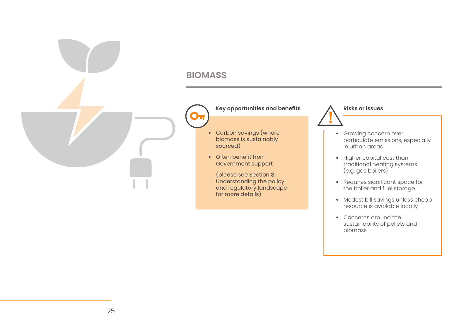# **BIOMASS**

# **Key opportunities and benefits**

- Carbon savings (where biomass is sustainably sourced)
- Often benefit from Government support

 [\(please see Section 8:](#page-45-0)  [Understanding the policy](#page-45-0)  [and regulatory landscape](#page-45-0)  [for more details\)](#page-45-0) 

## **Risks or issues**

- Growing concern over particulate emissions, especially in urban areas
- Higher capital cost than traditional heating systems (e.g. gas boilers)
- Requires significant space for the boiler and fuel storage
- Modest bill savings unless cheap resource is available locally
- Concerns around the sustainability of pellets and biomass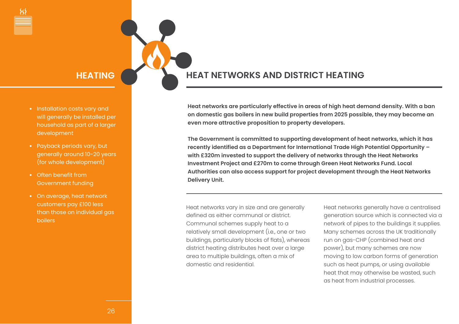<span id="page-25-0"></span>



- Installation costs vary and will generally be installed per household as part of a larger development
- Payback periods vary, but generally around 10-20 years (for whole development)
- Often benefit from Government funding
- On average, heat network customers pay £100 less than those on individual gas boilers

**HEATING CONSUMING AND HEAT NETWORKS AND DISTRICT HEATING** 

**Heat networks are particularly effective in areas of high heat demand density. With a ban on domestic gas boilers in new build properties from 2025 possible, they may become an even more attractive proposition to property developers.** 

**The Government is committed to supporting development of heat networks, which it has recently identified as a Department for International Trade High Potential Opportunity – with £320m invested to support the delivery of networks through the Heat Networks Investment Project and £270m to come through Green Heat Networks Fund. Local Authorities can also access support for project development through the Heat Networks Delivery Unit.**

Heat networks vary in size and are generally defined as either communal or district. Communal schemes supply heat to a relatively small development (i.e., one or two buildings, particularly blocks of flats), whereas district heating distributes heat over a large area to multiple buildings, often a mix of domestic and residential.

Heat networks generally have a centralised generation source which is connected via a network of pipes to the buildings it supplies. Many schemes across the UK traditionally run on gas-CHP (combined heat and power), but many schemes are now moving to low carbon forms of generation such as heat pumps, or using available heat that may otherwise be wasted, such as heat from industrial processes.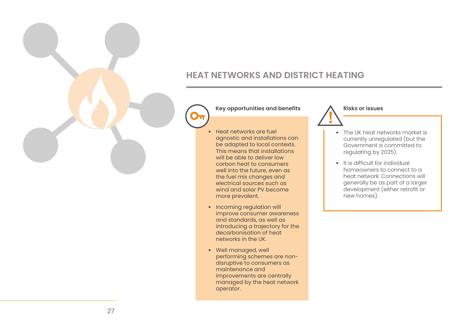

# **HEAT NETWORKS AND DISTRICT HEATING**

## **Key opportunities and benefits**

- Heat networks are fuel agnostic and installations can be adapted to local contexts. This means that installations will be able to deliver low carbon heat to consumers well into the future, even as the fuel mix changes and electrical sources such as wind and solar PV become more prevalent.
- Incoming regulation will improve consumer awareness and standards, as well as introducing a trajectory for the decarbonisation of heat networks in the UK.
- Well managed, well performing schemes are nondisruptive to consumers as maintenance and improvements are centrally managed by the heat network operator.

### **Risks or issues**

- The UK heat networks market is currently unregulated (but the Government is committed to regulating by 2025).
- It is difficult for individual homeowners to connect to a heat network. Connections will generally be as part of a larger development (either retrofit or new homes).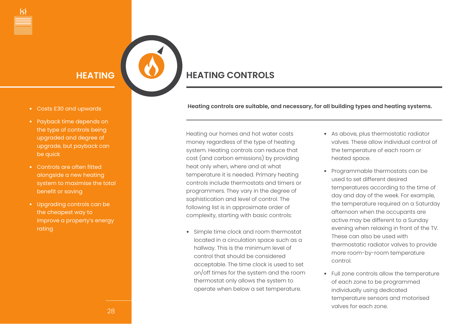

# <span id="page-27-0"></span>**HEATING HEATING CONTROLS**

- Costs £30 and upwards
- Payback time depends on the type of controls being upgraded and degree of upgrade, but payback can be quick
- Controls are often fitted alongside a new heating system to maximise the total benefit or saving
- Upgrading controls can be the cheapest way to improve a property's energy rating

**Heating controls are suitable, and necessary, for all building types and heating systems.**

Heating our homes and hot water costs money regardless of the type of heating system. Heating controls can reduce that cost (and carbon emissions) by providing heat only when, where and at what temperature it is needed. Primary heating controls include thermostats and timers or programmers. They vary in the degree of sophistication and level of control. The following list is in approximate order of complexity, starting with basic controls:

• Simple time clock and room thermostat located in a circulation space such as a hallway. This is the minimum level of control that should be considered acceptable. The time clock is used to set on/off times for the system and the room thermostat only allows the system to operate when below a set temperature.

- As above, plus thermostatic radiator valves. These allow individual control of the temperature of each room or heated space.
- Programmable thermostats can be used to set different desired temperatures according to the time of day and day of the week. For example, the temperature required on a Saturday afternoon when the occupants are active may be different to a Sunday evening when relaxing in front of the TV. These can also be used with thermostatic radiator valves to provide more room-by-room temperature control.
- Full zone controls allow the temperature of each zone to be programmed individually using dedicated temperature sensors and motorised valves for each zone.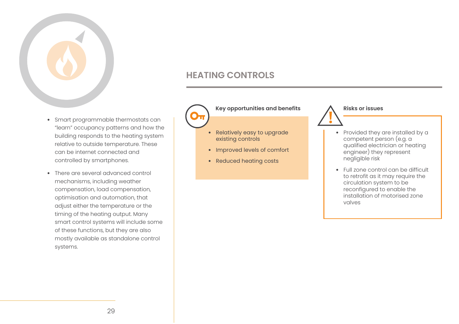

- Smart programmable thermostats can "learn" occupancy patterns and how the building responds to the heating system relative to outside temperature. These can be internet connected and controlled by smartphones.
- There are several advanced control mechanisms, including weather compensation, load compensation, optimisation and automation, that adjust either the temperature or the timing of the heating output. Many smart control systems will include some of these functions, but they are also mostly available as standalone control systems.

# **HEATING CONTROLS**

• Relatively easy to upgrade existing controls

 **Key opportunities and benefits** 

- Improved levels of comfort
- Reduced heating costs

## **Risks or issues**

- Provided they are installed by a competent person (e.g. a qualified electrician or heating engineer) they represent negligible risk
- Full zone control can be difficult to retrofit as it may require the circulation system to be reconfigured to enable the installation of motorised zone valves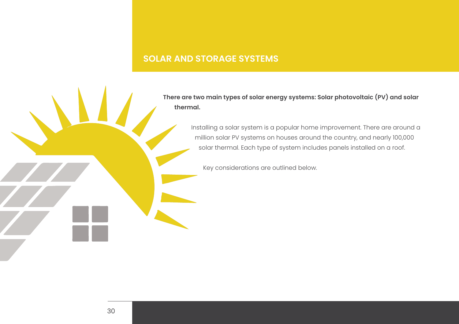# <span id="page-29-0"></span>**SOLAR AND STORAGE SYSTEMS**

**There are two main types of solar energy systems: Solar photovoltaic (PV) and solar thermal.** 

> Installing a solar system is a popular home improvement. There are around a million solar PV systems on houses around the country, and nearly 100,000 solar thermal. Each type of system includes panels installed on a roof.

Key considerations are outlined below.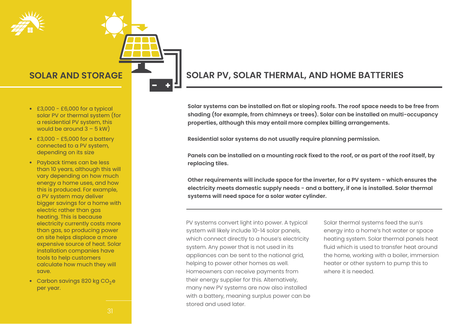<span id="page-30-0"></span>



- $\cdot$  £3,000 £6,000 for a typical solar PV or thermal system (for a residential PV system, this would be around  $3 - 5$  kW)
- $\cdot$  £3,000 £5,000 for a battery connected to a PV system, depending on its size
- Payback times can be less than 10 years, although this will vary depending on how much energy a home uses, and how this is produced. For example, a PV system may deliver bigger savings for a home with electric rather than gas heating. This is because electricity currently costs more than gas, so producing power on site helps displace a more expensive source of heat. Solar installation companies have tools to help customers calculate how much they will save.
- Carbon savings 820 kg  $CO<sub>2</sub>e$ per year.

# **SOLAR AND STORAGE SOLAR PV, SOLAR THERMAL, AND HOME BATTERIES**

**Solar systems can be installed on flat or sloping roofs. The roof space needs to be free from shading (for example, from chimneys or trees). Solar can be installed on multi-occupancy properties, although this may entail more complex billing arrangements.** 

**Residential solar systems do not usually require planning permission.** 

**Panels can be installed on a mounting rack fixed to the roof, or as part of the roof itself, by replacing tiles.** 

**Other requirements will include space for the inverter, for a PV system - which ensures the electricity meets domestic supply needs - and a battery, if one is installed. Solar thermal systems will need space for a solar water cylinder.** 

PV systems convert light into power. A typical system will likely include 10-14 solar panels, which connect directly to a house's electricity system. Any power that is not used in its appliances can be sent to the national grid, helping to power other homes as well. Homeowners can receive payments from their energy supplier for this. Alternatively, many new PV systems are now also installed with a battery, meaning surplus power can be stored and used later.

Solar thermal systems feed the sun's energy into a home's hot water or space heating system. Solar thermal panels heat fluid which is used to transfer heat around the home, working with a boiler, immersion heater or other system to pump this to where it is needed.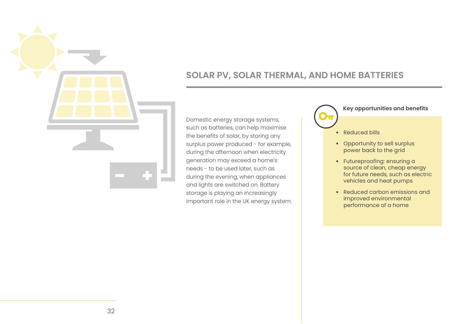

# **SOLAR PV, SOLAR THERMAL, AND HOME BATTERIES**

Domestic energy storage systems, such as batteries, can help maximise the benefits of solar, by storing any surplus power produced - for example, during the afternoon when electricity generation may exceed a home's needs - to be used later, such as during the evening, when appliances and lights are switched on. Battery storage is playing an increasingly important role in the UK energy system.  **Key opportunities and benefits** 

- Reduced bills
- Opportunity to sell surplus power back to the grid
- Futureproofing: ensuring a source of clean, cheap energy for future needs, such as electric vehicles and heat pumps
- Reduced carbon emissions and improved environmental performance of a home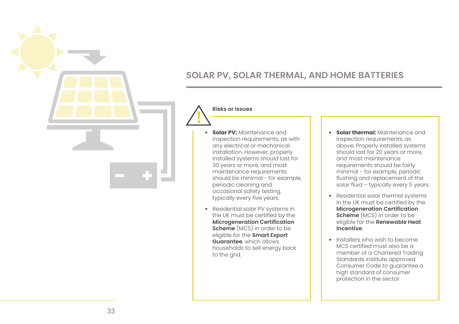# **SOLAR PV, SOLAR THERMAL, AND HOME BATTERIES**

## **Risks or issues**

- **Solar PV:** Maintenance and inspection requirements, as with any electrical or mechanical installation. However, properly installed systems should last for 30 years or more, and most maintenance requirements should be minimal - for example, periodic cleaning and occasional safety testing, typically every five years.
- Residential solar PV systems in the UK must be certified by the **[Microgeneration Certification](https://mcscertified.com/)  [Scheme](https://mcscertified.com/)** (MCS) in order to be eligible for the **[Smart Export](https://www.which.co.uk/reviews/solar-panels/article/smart-export-guarantee-explained-at2wh8b519s2)  [Guarantee](https://www.which.co.uk/reviews/solar-panels/article/smart-export-guarantee-explained-at2wh8b519s2)**, which allows households to sell energy back to the grid.
- **Solar thermal:** Maintenance and inspection requirements, as above. Properly installed systems should last for 20 years or more, and most maintenance requirements should be fairly minimal - for example, periodic flushing and replacement of the solar fluid – typically every 5 years.
- Residential solar thermal systems in the UK must be certified by the **[Microgeneration Certification](https://mcscertified.com/)  [Scheme](https://mcscertified.com/)** (MCS) in order to be eligible for the **[Renewable Heat](https://www.ofgem.gov.uk/environmental-and-social-schemes/domestic-renewable-heat-incentive-domestic-rhi)  [Incentive](https://www.ofgem.gov.uk/environmental-and-social-schemes/domestic-renewable-heat-incentive-domestic-rhi)**.
- Installers who wish to become MCS certified must also be a member of a Chartered Trading Standards Institute approved Consumer Code to guarantee a high standard of consumer protection in the sector.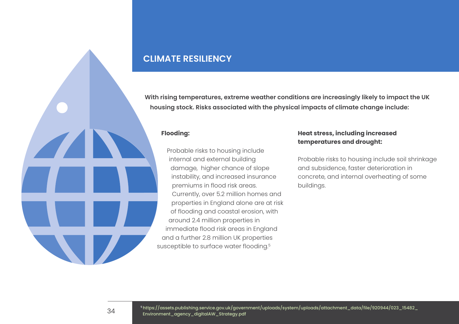# <span id="page-33-0"></span>**CLIMATE RESILIENCY**

**With rising temperatures, extreme weather conditions are increasingly likely to impact the UK housing stock. Risks associated with the physical impacts of climate change include:**

## **Flooding:**

Probable risks to housing include internal and external building damage, higher chance of slope instability, and increased insurance premiums in flood risk areas. Currently, over 5.2 million homes and properties in England alone are at risk of flooding and coastal erosion, with around 2.4 million properties in immediate flood risk areas in England and a further 2.8 million UK properties susceptible to surface water flooding.<sup>5</sup>

# **Heat stress, including increased temperatures and drought:**

Probable risks to housing include soil shrinkage and subsidence, faster deterioration in concrete, and internal overheating of some buildings.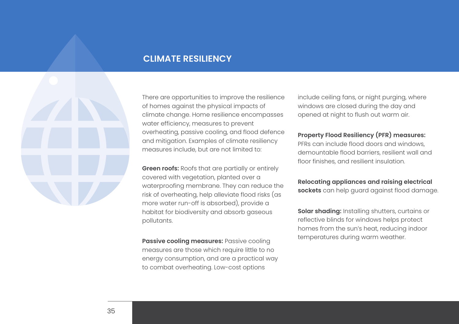# **CLIMATE RESILIENCY**

There are opportunities to improve the resilience of homes against the physical impacts of climate change. Home resilience encompasses water efficiency, measures to prevent overheating, passive cooling, and flood defence and mitigation. Examples of climate resiliency measures include, but are not limited to:

**Green roofs:** Roofs that are partially or entirely covered with vegetation, planted over a waterproofing membrane. They can reduce the risk of overheating, help alleviate flood risks (as more water run-off is absorbed), provide a habitat for biodiversity and absorb gaseous pollutants.

**Passive cooling measures:** Passive cooling measures are those which require little to no energy consumption, and are a practical way to combat overheating. Low-cost options

include ceiling fans, or night purging, where windows are closed during the day and opened at night to flush out warm air.

# **Property Flood Resiliency (PFR) measures:**

PFRs can include flood doors and windows, demountable flood barriers, resilient wall and floor finishes, and resilient insulation.

# **Relocating appliances and raising electrical sockets** can help guard against flood damage.

**Solar shading:** Installing shutters, curtains or reflective blinds for windows helps protect homes from the sun's heat, reducing indoor temperatures during warm weather.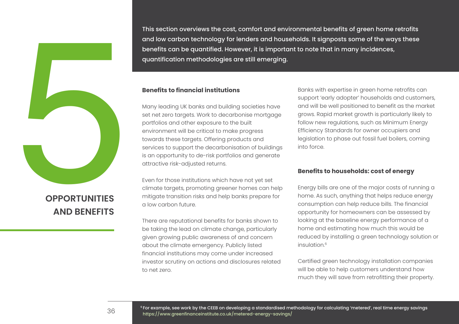This section overviews the cost, comfort and environmental benefits of green home retrofits and low carbon technology for lenders and households. It signposts some of the ways these benefits can be quantified. However, it is important to note that in many incidences,

## **Benefits to financial institutions**

<span id="page-35-0"></span>Many leading UK banks and building societies have set net zero targets. Work to decarbonise mortgage portfolios and other exposure to the built environment will be critical to make progress towards these targets. Offering products and services to support the decarbonisation of buildings is an opportunity to de-risk portfolios and generate attractive risk-adjusted returns. This section overviews the cost, comfort and env<br>
and low carbon technology for lenders and hous<br>
benefits can be quantified. However, it is import<br>
quantification methodologies are still emerging.<br>
Benefits to financial i

Even for those institutions which have not yet set climate targets, promoting greener homes can help mitigate transition risks and help banks prepare for a low carbon future.

There are reputational benefits for banks shown to be taking the lead on climate change, particularly given growing public awareness of and concern about the climate emergency. Publicly listed financial institutions may come under increased investor scrutiny on actions and disclosures related to net zero.

Banks with expertise in green home retrofits can support 'early adopter' households and customers, and will be well positioned to benefit as the market grows. Rapid market growth is particularly likely to follow new regulations, such as Minimum Energy Efficiency Standards for owner occupiers and legislation to phase out fossil fuel boilers, coming into force.

## **Benefits to households: cost of energy**

Energy bills are one of the major costs of running a home. As such, anything that helps reduce energy consumption can help reduce bills. The financial opportunity for homeowners can be assessed by looking at the baseline energy performance of a home and estimating how much this would be reduced by installing a green technology solution or insulation.<sup>6</sup>

Certified green technology installation companies will be able to help customers understand how much they will save from retrofitting their property.

# **AND BENEFITS**

**OPPORTUNITIES**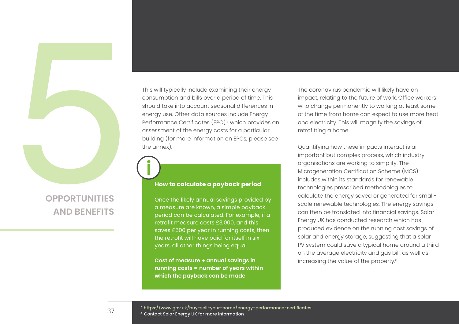**OPPORTUNITIES AND BENEFITS** 

This will typically include examining their energy consumption and bills over a period of time. This should take into account seasonal differences in energy use. Other data sources include Energy Performance Certificates (EPC),<sup>7</sup> which provides an assessment of the energy costs for a particular building (for more information on EPCs, please see the annex). This will typically include examining their ene<br>consumption and bills over a period of time.<br>should take into account seasonal differences<br>energy use. Other data sources include Energy<br>Performance Certificates (EPC)? which

Once the likely annual savings provided by a measure are known, a simple payback period can be calculated. For example, if a retrofit measure costs £3,000, and this saves £500 per year in running costs, then the retrofit will have paid for itself in six years, all other things being equal.

**Cost of measure ÷ annual savings in running costs = number of years within which the payback can be made** 

The coronavirus pandemic will likely have an impact, relating to the future of work. Office workers who change permanently to working at least some of the time from home can expect to use more heat and electricity. This will magnify the savings of retrofitting a home.

Quantifying how these impacts interact is an important but complex process, which industry organisations are working to simplify. The Microgeneration Certification Scheme (MCS) includes within its standards for renewable technologies prescribed methodologies to calculate the energy saved or generated for smallscale renewable technologies. The energy savings can then be translated into financial savings. Solar Energy UK has conducted research which has produced evidence on the running cost savings of solar and energy storage, suggesting that a solar PV system could save a typical home around a third on the average electricity and gas bill, as well as increasing the value of the property.<sup>8</sup>

<sup>7</sup><https://www.gov.uk/buy-sell-your-home/energy-performance-certificates> 8 Contact Solar Energy UK for more information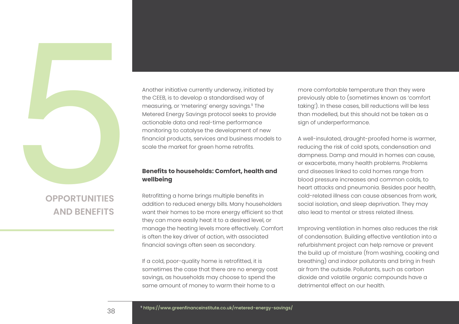

# **OPPORTUNITIES AND BENEFITS**

Another initiative currently underway, initiated by the CEEB, is to develop a standardised way of measuring, or 'metering' energy savings.<sup>9</sup> The Metered Energy Savings protocol seeks to provide actionable data and real-time performance monitoring to catalyse the development of new financial products, services and business models to scale the market for green home retrofits.

# **Benefits to households: Comfort, health and wellbeing**

Retrofitting a home brings multiple benefits in addition to reduced energy bills. Many householders want their homes to be more energy efficient so that they can more easily heat it to a desired level, or manage the heating levels more effectively. Comfort is often the key driver of action, with associated financial savings often seen as secondary.

If a cold, poor-quality home is retrofitted, it is sometimes the case that there are no energy cost savings, as households may choose to spend the same amount of money to warm their home to a

more comfortable temperature than they were previously able to (sometimes known as 'comfort taking'). In these cases, bill reductions will be less than modelled, but this should not be taken as a sign of underperformance.

A well-insulated, draught-proofed home is warmer, reducing the risk of cold spots, condensation and dampness. Damp and mould in homes can cause, or exacerbate, many health problems. Problems and diseases linked to cold homes range from blood pressure increases and common colds, to heart attacks and pneumonia. Besides poor health, cold-related illness can cause absences from work, social isolation, and sleep deprivation. They may also lead to mental or stress related illness.

Improving ventilation in homes also reduces the risk of condensation. Building effective ventilation into a refurbishment project can help remove or prevent the build up of moisture (from washing, cooking and breathing) and indoor pollutants and bring in fresh air from the outside. Pollutants, such as carbon dioxide and volatile organic compounds have a detrimental effect on our health.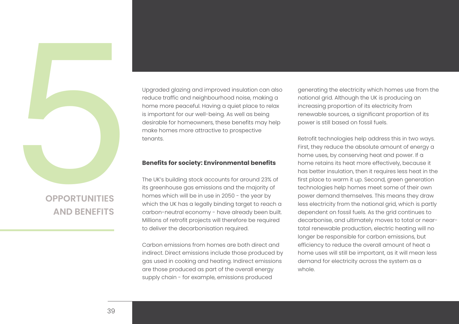

# **OPPORTUNITIES AND BENEFITS**

Upgraded glazing and improved insulation can also reduce traffic and neighbourhood noise, making a home more peaceful. Having a quiet place to relax is important for our well-being. As well as being desirable for homeowners, these benefits may help make homes more attractive to prospective tenants.

## **Benefits for society: Environmental benefits**

The UK's building stock accounts for around [23% of](https://assets.publishing.service.gov.uk/government/uploads/system/uploads/attachment_data/file/863325/2018-final-emissions-statistics-summary.pdf)  [its greenhouse gas emissions](https://assets.publishing.service.gov.uk/government/uploads/system/uploads/attachment_data/file/863325/2018-final-emissions-statistics-summary.pdf) and the majority of homes which will be in use in 2050 - the year by which the UK has a legally binding target to reach a carbon-neutral economy - have already been built. Millions of retrofit projects will therefore be required to deliver the decarbonisation required.

Carbon emissions from homes are both direct and indirect. Direct emissions include those produced by gas used in cooking and heating. Indirect emissions are those produced as part of the overall energy supply chain - for example, emissions produced

generating the electricity which homes use from the national grid. Although the UK is producing an increasing proportion of its electricity from renewable sources, a significant proportion of its power is still based on fossil fuels.

Retrofit technologies help address this in two ways. First, they reduce the absolute amount of energy a home uses, by conserving heat and power. If a home retains its heat more effectively, because it has better insulation, then it requires less heat in the first place to warm it up. Second, green generation technologies help homes meet some of their own power demand themselves. This means they draw less electricity from the national grid, which is partly dependent on fossil fuels. As the grid continues to decarbonise, and ultimately moves to total or neartotal renewable production, electric heating will no longer be responsible for carbon emissions, but efficiency to reduce the overall amount of heat a home uses will still be important, as it will mean less demand for electricity across the system as a whole.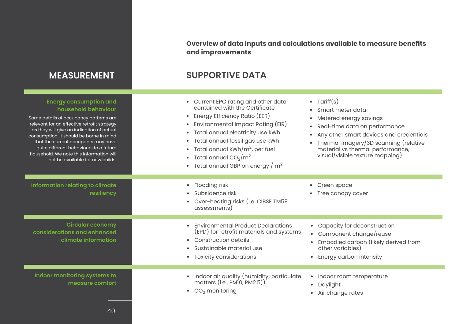**Overview of data inputs and calculations available to measure benefits and improvements**

# **MEASUREMENT SUPPORTIVE DATA**

| <b>Energy consumption and</b><br>household behaviour<br>Some details of occupancy patterns are<br>relevant for an effective retrofit strategy<br>as they will give an indication of actual<br>consumption. It should be borne in mind<br>that the current occupants may have<br>quite different behaviours to a future<br>household. We note this information will<br>not be available for new builds. | • Current EPC rating and other data<br>contained with the Certificate<br>• Energy Efficiency Ratio (EER)<br>Environmental Impact Rating (EIR)<br>$\bullet$<br>• Total annual electricity use kWh<br>• Total annual fossil gas use kWh<br>• Total annual $kWh/m^2$ , per fuel<br>• Total annual $CO2/m2$<br>• Total annual GBP on energy $/m^2$ | • $T$ ariff $(s)$<br>Smart meter data<br>Metered energy savings<br>Real-time data on performance<br>$\bullet$<br>Any other smart devices and credentials<br>Thermal imagery/3D scanning (relative<br>material vs thermal performance,<br>visual/visible texture mapping) |
|--------------------------------------------------------------------------------------------------------------------------------------------------------------------------------------------------------------------------------------------------------------------------------------------------------------------------------------------------------------------------------------------------------|------------------------------------------------------------------------------------------------------------------------------------------------------------------------------------------------------------------------------------------------------------------------------------------------------------------------------------------------|--------------------------------------------------------------------------------------------------------------------------------------------------------------------------------------------------------------------------------------------------------------------------|
| Information relating to climate<br>resiliency                                                                                                                                                                                                                                                                                                                                                          | • Flooding risk<br>Subsidence risk<br>• Over-heating risks (i.e. CIBSE TM59<br>assessments)                                                                                                                                                                                                                                                    | Green space<br>Tree canopy cover                                                                                                                                                                                                                                         |
| <b>Circular economy</b><br>considerations and enhanced<br>climate information                                                                                                                                                                                                                                                                                                                          | <b>Environmental Product Declarations</b><br>(EPD) for retrofit materials and systems<br>Construction details<br>$\bullet$<br>Sustainable material use<br>• Toxicity considerations                                                                                                                                                            | • Capacity for deconstruction<br>Component change/reuse<br>Embodied carbon (likely derived from<br>other variables)<br>Energy carbon intensity<br>$\bullet$                                                                                                              |
| Indoor monitoring systems to<br>measure comfort                                                                                                                                                                                                                                                                                                                                                        | Indoor air quality (humidity; particulate<br>matters (i.e., PM10, PM2.5))<br>$\bullet$<br>$\bullet$ CO <sub>2</sub> monitoring                                                                                                                                                                                                                 | Indoor room temperature<br>$\bullet$<br>Daylight<br>$\bullet$<br>Air change rates                                                                                                                                                                                        |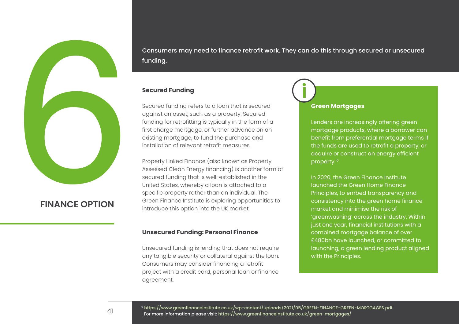Consumers may need to finance retrofit work. They can do this through secured or unsecured

## **Secured Funding**

<span id="page-40-0"></span>Secured funding refers to a loan that is secured against an asset, such as a property. Secured funding for retrofitting is typically in the form of a first charge mortgage, or further advance on an existing mortgage, to fund the purchase and installation of relevant retrofit measures. Consum<br>
funding.<br>
Secured<br>
Secured<br>
Secured<br>
secured<br>
secured<br>
first charge existing n<br>
installatic<br>
Property<br>
Assessed<br>
secured<br>
secured<br>
secured<br>
secured<br>
secured<br>
secured<br>
secured<br>
secured<br>
secured<br>
secured<br>
secured<br>
se

Property Linked Finance (also known as Property Assessed Clean Energy financing) is another form of secured funding that is well-established in the United States, whereby a loan is attached to a specific property rather than an individual. The Green Finance Institute is exploring opportunities to introduce this option into the UK market.

## **Unsecured Funding: Personal Finance**

Unsecured funding is lending that does not require any tangible security or collateral against the loan. Consumers may consider financing a retrofit project with a credit card, personal loan or finance agreement.

## **Green Mortgages**

Lenders are increasingly offering green mortgage products, where a borrower can benefit from preferential mortgage terms if the funds are used to retrofit a property, or acquire or construct an energy efficient property.<sup>10</sup>

In 2020, the Green Finance Institute launched the Green Home Finance Principles, to embed transparency and consistency into the green home finance market and minimise the risk of 'greenwashing' across the industry. Within just one year, financial institutions with a combined mortgage balance of over £480bn have launched, or committed to launching, a green lending product aligned with the Principles.

**FINANCE OPTION**

<sup>10</sup><https://www.greenfinanceinstitute.co.uk/wp-content/uploads/2021/05/GREEN-FINANCE-GREEN-MORTGAGES.pdf> For more information please visit:<https://www.greenfinanceinstitute.co.uk/green-mortgages/>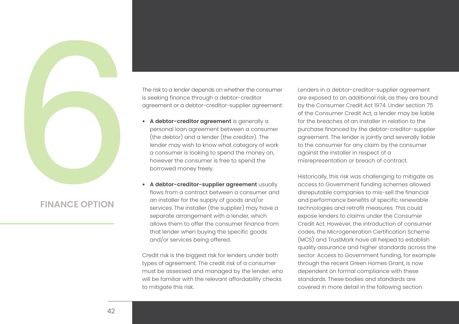

# **FINANCE OPTION**

The risk to a lender depends on whether the consumer is seeking finance through a debtor-creditor agreement or a debtor-creditor-supplier agreement:

- **A debtor-creditor agreement** is generally a personal loan agreement between a consumer (the debtor) and a lender (the creditor). The lender may wish to know what category of work a consumer is looking to spend the money on, however the consumer is free to spend the borrowed money freely.
- **A debtor-creditor-supplier agreement** usually flows from a contract between a consumer and an installer for the supply of goods and/or services. The installer (the supplier) may have a separate arrangement with a lender, which allows them to offer the consumer finance from that lender when buying the specific goods and/or services being offered.

Credit risk is the biggest risk for lenders under both types of agreement. The credit risk of a consumer must be assessed and managed by the lender, who will be familiar with the relevant affordability checks to mitigate this risk.

Lenders in a debtor-creditor-supplier agreement are exposed to an additional risk, as they are bound by the Consumer Credit Act 1974. Under section 75 of the Consumer Credit Act, a lender may be liable for the breaches of an installer in relation to the purchase financed by the debtor-creditor-supplier agreement. The lender is jointly and severally liable to the consumer for any claim by the consumer against the installer in respect of a misrepresentation or breach of contract.

Historically, this risk was challenging to mitigate as access to Government funding schemes allowed disreputable companies to mis-sell the financial and performance benefits of specific renewable technologies and retrofit measures. This could expose lenders to claims under the Consumer Credit Act. However, the introduction of consumer codes, the Microgeneration Certification Scheme (MCS) and TrustMark have all helped to establish quality assurance and higher standards across the sector. Access to Government funding, for example through the recent Green Homes Grant, is now dependent on formal compliance with these standards. These bodies and standards are covered in more detail in the following section.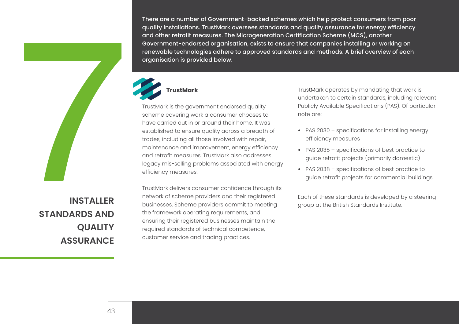There are a number of Government-backed schemes which help protect consumers from poor quality installations. TrustMark oversees standards and quality assurance for energy efficiency and other retrofit measures. The Microgeneration Certification Scheme (MCS), another Government-endorsed organisation, exists to ensure that companies installing or working on renewable technologies adhere to approved standards and methods. A brief overview of each organisation is provided below.

# **TrustMark**

TrustMark is the government endorsed quality scheme covering work a consumer chooses to have carried out in or around their home. It was established to ensure quality across a breadth of trades, including all those involved with repair, maintenance and improvement, energy efficiency and retrofit measures. TrustMark also addresses legacy mis-selling problems associated with energy efficiency measures.

TrustMark delivers consumer confidence through its network of scheme providers and their registered businesses. Scheme providers commit to meeting the framework operating requirements, and ensuring their registered businesses maintain the required standards of technical competence, customer service and trading practices.

TrustMark operates by mandating that work is undertaken to certain standards, including relevant Publicly Available Specifications (PAS). Of particular note are:

- PAS 2030 specifications for installing energy efficiency measures
- PAS 2035 specifications of best practice to guide retrofit projects (primarily domestic)
- PAS 2038 specifications of best practice to guide retrofit projects for commercial buildings

Each of these standards is developed by a steering group at the British Standards Institute.

**INSTALLER STANDARDS AND QUALITY ASSURANCE**

<span id="page-42-0"></span>7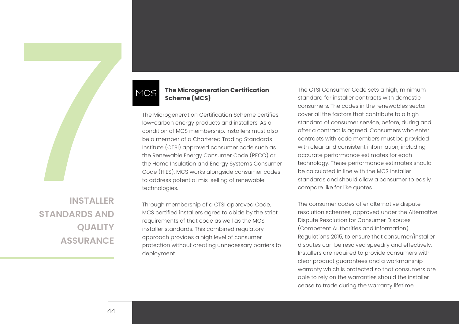# 7

## **The Microgeneration Certification Scheme (MCS)**

The Microgeneration Certification Scheme certifies low-carbon energy products and installers. As a condition of MCS membership, installers must also be a member of a Chartered Trading Standards Institute (CTSI) approved consumer code such as the Renewable Energy Consumer Code (RECC) or the Home Insulation and Energy Systems Consumer Code (HIES). MCS works alongside consumer codes to address potential mis-selling of renewable technologies.

Through membership of a CTSI approved Code, MCS certified installers agree to abide by the strict requirements of that code as well as the MCS installer standards. This combined regulatory approach provides a high level of consumer protection without creating unnecessary barriers to deployment.

The CTSI Consumer Code sets a high, minimum standard for installer contracts with domestic consumers. The codes in the renewables sector cover all the factors that contribute to a high standard of consumer service, before, during and after a contract is agreed. Consumers who enter contracts with code members must be provided with clear and consistent information, including accurate performance estimates for each technology. These performance estimates should be calculated in line with the MCS installer standards and should allow a consumer to easily compare like for like quotes.

The consumer codes offer alternative dispute resolution schemes, approved under the Alternative Dispute Resolution for Consumer Disputes (Competent Authorities and Information) Regulations 2015, to ensure that consumer/installer disputes can be resolved speedily and effectively. Installers are required to provide consumers with clear product guarantees and a workmanship warranty which is protected so that consumers are able to rely on the warranties should the installer cease to trade during the warranty lifetime.

**INSTALLER STANDARDS AND QUALITY ASSURANCE**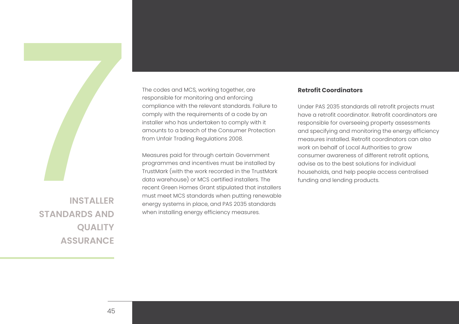

The codes and MCS, working together, are responsible for monitoring and enforcing compliance with the relevant standards. Failure to comply with the requirements of a code by an installer who has undertaken to comply with it amounts to a breach of the Consumer Protection from Unfair Trading Regulations 2008.

Measures paid for through certain Government programmes and incentives must be installed by TrustMark (with the work recorded in the TrustMark data warehouse) or MCS certified installers. The recent Green Homes Grant stipulated that installers must meet MCS standards when putting renewable energy systems in place, and PAS 2035 standards when installing energy efficiency measures.

## **Retrofit Coordinators**

Under PAS 2035 standards all retrofit projects must have a retrofit coordinator. Retrofit coordinators are responsible for overseeing property assessments and specifying and monitoring the energy efficiency measures installed. Retrofit coordinators can also work on behalf of Local Authorities to grow consumer awareness of different retrofit options, advise as to the best solutions for individual

**INSTALLER STANDARDS AND QUALITY ASSURANCE**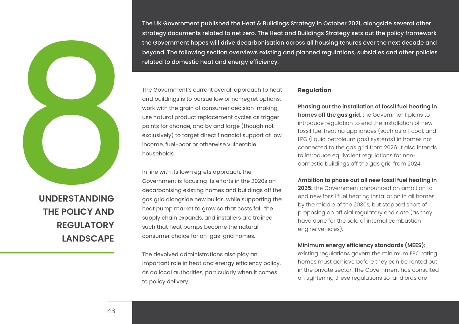<span id="page-45-0"></span>The UK Government published the Heat & Buildine strategy documents related to net zero. The Heat the Covernment hopes will drive decarbonisation beyond. The following section overviews existing related to domestic heat and

**UNDERSTANDING THE POLICY AND REGULATORY LANDSCAPE** 

The UK Government published the Heat & Buildings Strategy in October 2021, alongside several other strategy documents related to net zero. The Heat and Buildings Strategy sets out the policy framework the Government hopes will drive decarbonisation across all housing tenures over the next decade and beyond. The following section overviews existing and planned regulations, subsidies and other policies

The Government's current overall approach to heat and buildings is to pursue low or no-regret options, work with the grain of consumer decision-making, use natural product replacement cycles as trigger points for change, and by and large (though not exclusively) to target direct financial support at low income, fuel-poor or otherwise vulnerable households.

In line with its low-regrets approach, the Government is focusing its efforts in the 2020s on decarbonising existing homes and buildings off the gas grid alongside new builds, while supporting the heat pump market to grow so that costs fall, the supply chain expands, and installers are trained such that heat pumps become the natural consumer choice for on-gas-grid homes.

The devolved administrations also play an important role in heat and energy efficiency policy, as do local authorities, particularly when it comes to policy delivery.

## **Regulation**

**Phasing out the installation of fossil fuel heating in homes off the gas grid**: the Government plans to introduce regulation to end the installation of new fossil fuel heating appliances (such as oil, coal, and LPG (liquid petroleum gas) systems) in homes not connected to the gas grid from 2026. It also intends to introduce equivalent regulations for nondomestic buildings off the gas grid from 2024.

**Ambition to phase out all new fossil fuel heating in** 

**2035:** the Government announced an ambition to end new fossil fuel heating installation in all homes by the middle of the 2030s, but stopped short of proposing an official regulatory end date (as they have done for the sale of internal combustion engine vehicles).

## **Minimum energy efficiency standards (MEES):**

existing regulations govern the minimum EPC rating homes must achieve before they can be rented out in the private sector. The Government has consulted on tightening these regulations so landlords are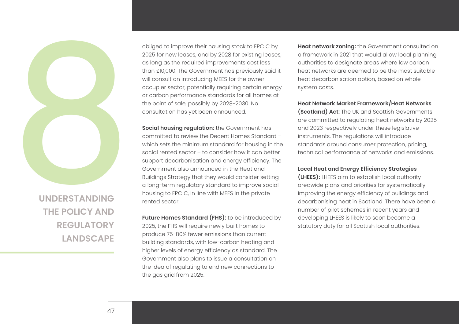

**UNDERSTANDING THE POLICY AND REGULATORY LANDSCAPE** 

obliged to improve their housing stock to EPC C by 2025 for new leases, and by 2028 for existing leases, as long as the required improvements cost less than £10,000. The Government has previously said it will consult on introducing MEES for the owner occupier sector, potentially requiring certain energy or carbon performance standards for all homes at the point of sale, possibly by 2028-2030. No consultation has yet been announced.

**Social housing regulation:** the Government has committed to review the Decent Homes Standard – which sets the minimum standard for housing in the social rented sector – to consider how it can better support decarbonisation and energy efficiency. The Government also announced in the Heat and Buildings Strategy that they would consider setting a long-term regulatory standard to improve social housing to EPC C, in line with MEES in the private rented sector.

**Future Homes Standard (FHS):** to be introduced by 2025, the FHS will require newly built homes to produce 75-80% fewer emissions than current building standards, with low-carbon heating and higher levels of energy efficiency as standard. The Government also plans to issue a consultation on the idea of regulating to end new connections to the gas grid from 2025.

**Heat network zoning:** the Government consulted on a framework in 2021 that would allow local planning authorities to designate areas where low carbon heat networks are deemed to be the most suitable heat decarbonisation option, based on whole system costs.

**Heat Network Market Framework/Heat Networks** 

**(Scotland) Act:** The UK and Scottish Governments are committed to regulating heat networks by 2025 and 2023 respectively under these legislative instruments. The regulations will introduce standards around consumer protection, pricing, technical performance of networks and emissions.

## **Local Heat and Energy Efficiency Strategies**

**(LHEES):** LHEES aim to establish local authority areawide plans and priorities for systematically improving the energy efficiency of buildings and decarbonising heat in Scotland. There have been a number of pilot schemes in recent years and developing LHEES is likely to soon become a statutory duty for all Scottish local authorities.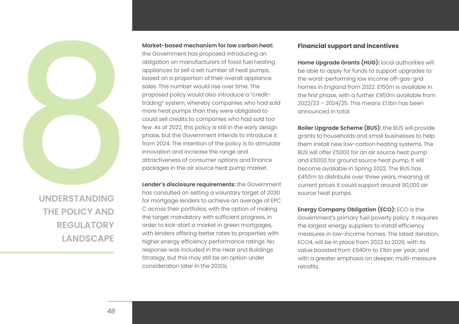

**UNDERSTANDING THE POLICY AND REGULATORY LANDSCAPE** 

## **Market-based mechanism for low carbon heat:**

the Government has proposed introducing an obligation on manufacturers of fossil fuel heating appliances to sell a set number of heat pumps, based on a proportion of their overall appliance sales. This number would rise over time. The proposed policy would also introduce a "credittrading" system, whereby companies who had sold more heat pumps than they were obligated to could sell credits to companies who had sold too few. As of 2022, this policy is still in the early design phase, but the Government intends to introduce it from 2024. The intention of the policy is to stimulate innovation and increase the range and attractiveness of consumer options and finance packages in the air source heat pump market.

**Lender's disclosure requirements:** the Government has consulted on setting a voluntary target of 2030 for mortgage lenders to achieve an average of EPC C across their portfolios, with the option of making the target mandatory with sufficient progress, in order to kick-start a market in green mortgages, with lenders offering better rates to properties with higher energy efficiency performance ratings. No response was included in the Heat and Buildings Strategy, but this may still be an option under consideration later in the 2020s.

## **Financial support and incentives**

**Home Upgrade Grants (HUG):** local authorities will be able to apply for funds to support upgrades to the worst-performing low income off-gas-grid homes in England from 2022. £150m is available in the first phase, with a further £950m available from 2022/23 – 2024/25. This means £1.1bn has been announced in total.

**Boiler Upgrade Scheme (BUS):** the BUS will provide grants to households and small businesses to help them install new low-carbon heating systems. The BUS will offer £5000 for an air source heat pump and £6000 for ground source heat pump. It will become available in Spring 2022. The BUS has £450m to distribute over three years, meaning at current prices it could support around 90,000 air source heat pumps.

**Energy Company Obligation (ECO):** ECO is the Government's primary fuel poverty policy. It requires the largest energy suppliers to install efficiency measures in low-income homes. The latest iteration, ECO4, will be in place from 2022 to 2026, with its value boosted from £640m to £1bn per year, and with a greater emphasis on deeper, multi-measure retrofits.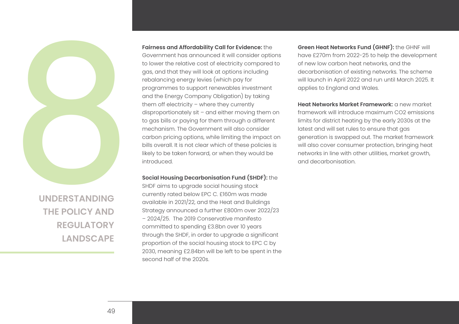

**UNDERSTANDING THE POLICY AND REGULATORY LANDSCAPE** 

**Fairness and Affordability Call for Evidence:** the

Government has announced it will consider options to lower the relative cost of electricity compared to gas, and that they will look at options including rebalancing energy levies (which pay for programmes to support renewables investment and the Energy Company Obligation) by taking them off electricity – where they currently disproportionately sit – and either moving them on to gas bills or paying for them through a different mechanism. The Government will also consider carbon pricing options, while limiting the impact on bills overall. It is not clear which of these policies is likely to be taken forward, or when they would be introduced.

**Social Housing Decarbonisation Fund (SHDF):** the SHDF aims to upgrade social housing stock currently rated below EPC C. £160m was made available in 2021/22, and the Heat and Buildings Strategy announced a further £800m over 2022/23 – 2024/25. The 2019 Conservative manifesto committed to spending £3.8bn over 10 years through the SHDF, in order to upgrade a significant proportion of the social housing stock to EPC C by 2030, meaning £2.84bn will be left to be spent in the second half of the 2020s.

**Green Heat Networks Fund (GHNF):** the GHNF will have £270m from 2022-25 to help the development of new low carbon heat networks, and the decarbonisation of existing networks. The scheme will launch in April 2022 and run until March 2025. It applies to England and Wales.

**Heat Networks Market Framework:** a new market framework will introduce maximum CO2 emissions limits for district heating by the early 2030s at the latest and will set rules to ensure that gas generation is swapped out. The market framework will also cover consumer protection, bringing heat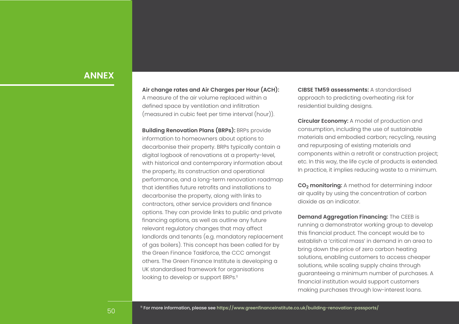<span id="page-49-0"></span>**Air change rates and Air Charges per Hour (ACH):**  A measure of the air volume replaced within a defined space by ventilation and infiltration (measured in cubic feet per time interval (hour)).

**Building Renovation Plans (BRPs):** BRPs provide information to homeowners about options to decarbonise their property. BRPs typically contain a digital logbook of renovations at a property-level, with historical and contemporary information about the property, its construction and operational performance, and a long-term renovation roadmap that identifies future retrofits and installations to decarbonise the property, along with links to contractors, other service providers and finance options. They can provide links to public and private financing options, as well as outline any future relevant regulatory changes that may affect landlords and tenants (e.g. mandatory replacement of gas boilers). This concept has been called for by the Green Finance Taskforce, the CCC amongst others. The Green Finance Institute is developing a UK standardised framework for organisations looking to develop or support BRPs.<sup>11</sup>

**CIBSE TM59 assessments:** A standardised approach to predicting overheating risk for residential building designs.

**Circular Economy:** A model of production and consumption, including the use of sustainable materials and embodied carbon; recycling, reusing and repurposing of existing materials and components within a retrofit or construction project; etc. In this way, the life cycle of products is extended. In practice, it implies reducing waste to a minimum.

**CO<sup>2</sup> monitoring:** A method for determining indoor air quality by using the concentration of carbon dioxide as an indicator.

**Demand Aggregation Financing:** The CEEB is running a demonstrator working group to develop this financial product. The concept would be to establish a 'critical mass' in demand in an area to bring down the price of zero carbon heating solutions, enabling customers to access cheaper solutions, while scaling supply chains through guaranteeing a minimum number of purchases. A financial institution would support customers making purchases through low-interest loans.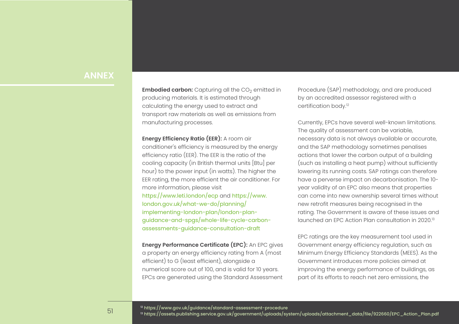**Embodied carbon:** Capturing all the CO $_2$  emitted in producing materials. It is estimated through calculating the energy used to extract and transport raw materials as well as emissions from manufacturing processes.

**Energy Efficiency Ratio (EER):** A room air conditioner's efficiency is measured by the energy efficiency ratio (EER). The EER is the ratio of the cooling capacity (in British thermal units [Btu] per hour) to the power input (in watts). The higher the EER rating, the more efficient the air conditioner. For more information, please visit <https://www.leti.london/ecp> and [https://www.](https://www.london.gov.uk/what-we-do/planning/implementing-london-plan/london-plan-guidance-and-spgs/whole-life-cycle-carbon-assessments-guidance-consultation-draft)  [london.gov.uk/what-we-do/planning/](https://www.london.gov.uk/what-we-do/planning/implementing-london-plan/london-plan-guidance-and-spgs/whole-life-cycle-carbon-assessments-guidance-consultation-draft)  [implementing-london-plan/london-plan](https://www.london.gov.uk/what-we-do/planning/implementing-london-plan/london-plan-guidance-and-spgs/whole-life-cycle-carbon-assessments-guidance-consultation-draft)[guidance-and-spgs/whole-life-cycle-carbon](https://www.london.gov.uk/what-we-do/planning/implementing-london-plan/london-plan-guidance-and-spgs/whole-life-cycle-carbon-assessments-guidance-consultation-draft)[assessments-guidance-consultation-draft](https://www.london.gov.uk/what-we-do/planning/implementing-london-plan/london-plan-guidance-and-spgs/whole-life-cycle-carbon-assessments-guidance-consultation-draft)

**Energy Performance Certificate (EPC):** An EPC gives a property an energy efficiency rating from A (most efficient) to G (least efficient), alongside a numerical score out of 100, and is valid for 10 years. EPCs are generated using the Standard Assessment

Procedure (SAP) methodology, and are produced by an accredited assessor registered with a certification body.<sup>12</sup>

Currently, EPCs have several well-known limitations. The quality of assessment can be variable, necessary data is not always available or accurate, and the SAP methodology sometimes penalises actions that lower the carbon output of a building (such as installing a heat pump) without sufficiently lowering its running costs. SAP ratings can therefore have a perverse impact on decarbonisation. The 10 year validity of an EPC also means that properties can come into new ownership several times without new retrofit measures being recognised in the rating. The Government is aware of these issues and launched an EPC Action Plan consultation in 2020.<sup>13</sup>

EPC ratings are the key measurement tool used in Government energy efficiency regulation, such as Minimum Energy Efficiency Standards (MEES). As the Government introduces more policies aimed at improving the energy performance of buildings, as part of its efforts to reach net zero emissions, the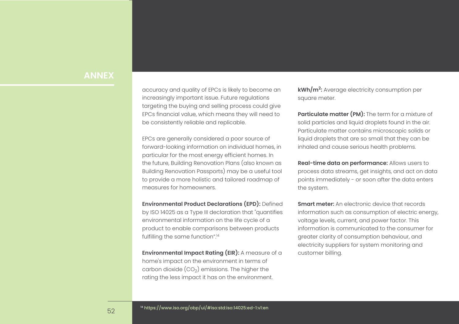accuracy and quality of EPCs is likely to become an increasingly important issue. Future regulations targeting the buying and selling process could give EPCs financial value, which means they will need to be consistently reliable and replicable.

EPCs are generally considered a poor source of forward-looking information on individual homes, in particular for the most energy efficient homes. In the future, Building Renovation Plans (also known as Building Renovation Passports) may be a useful tool to provide a more holistic and tailored roadmap of measures for homeowners.

**Environmental Product Declarations (EPD):** Defined by ISO 14025 as a Type III declaration that "quantifies environmental information on the life cycle of a product to enable comparisons between products fulfilling the same function".<sup>14</sup>

**Environmental Impact Rating (EIR):** A measure of a home's impact on the environment in terms of carbon dioxide (CO $_2$ ) emissions. The higher the rating the less impact it has on the environment.

**kWh/m<sup>2</sup> :** Average electricity consumption per square meter.

**Particulate matter (PM):** The term for a mixture of solid particles and liquid droplets found in the air. Particulate matter contains microscopic solids or liquid droplets that are so small that they can be inhaled and cause serious health problems.

**Real-time data on performance:** Allows users to process data streams, get insights, and act on data points immediately - or soon after the data enters the system.

**Smart meter:** An electronic device that records information such as consumption of electric energy, voltage levels, current, and power factor. This information is communicated to the consumer for greater clarity of consumption behaviour, and electricity suppliers for system monitoring and customer billing.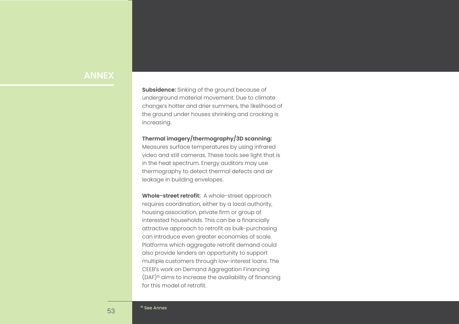**Subsidence:** Sinking of the ground because of underground material movement. Due to climate change's hotter and drier summers, the likelihood of the ground under houses shrinking and cracking is increasing.

## **Thermal imagery/thermography/3D scanning:**

Measures surface temperatures by using infrared video and still cameras. These tools see light that is in the heat spectrum. Energy auditors may use thermography to detect thermal defects and air leakage in building envelopes.

**Whole-street retrofit:** A whole-street approach requires coordination, either by a local authority, housing association, private firm or group of interested households. This can be a financially attractive approach to retrofit as bulk-purchasing can introduce even greater economies of scale. Platforms which aggregate retrofit demand could also provide lenders an opportunity to support multiple customers through low-interest loans. The CEEB's work on Demand Aggregation Financing (DAF)<sup>15</sup> aims to increase the availability of financing for this model of retrofit.

[1](#page-49-0)5 [See Annex](#page-49-0)